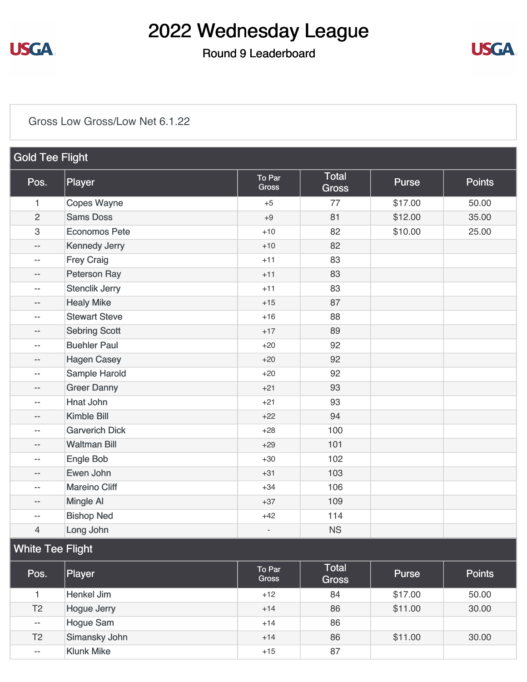

### Round 9 Leaderboard



#### [Gross Low Gross/Low Net 6.1.22](https://static.golfgenius.com/v2tournaments/8528499832883534430?called_from=&round_index=9)

| <b>Gold Tee Flight</b>   |                       |                        |                              |              |               |
|--------------------------|-----------------------|------------------------|------------------------------|--------------|---------------|
| Pos.                     | Player                | To Par<br><b>Gross</b> | <b>Total</b><br><b>Gross</b> | <b>Purse</b> | <b>Points</b> |
| 1                        | <b>Copes Wayne</b>    | $+5$                   | 77                           | \$17.00      | 50.00         |
| $\overline{c}$           | <b>Sams Doss</b>      | $+9$                   | 81                           | \$12.00      | 35.00         |
| $\,3$                    | <b>Economos Pete</b>  | $+10$                  | 82                           | \$10.00      | 25.00         |
| $-$                      | <b>Kennedy Jerry</b>  | $+10$                  | 82                           |              |               |
| --                       | <b>Frey Craig</b>     | $+11$                  | 83                           |              |               |
| --                       | <b>Peterson Ray</b>   | $+11$                  | 83                           |              |               |
| $\overline{a}$           | <b>Stenclik Jerry</b> | $+11$                  | 83                           |              |               |
| $-$                      | <b>Healy Mike</b>     | $+15$                  | 87                           |              |               |
| $-$                      | <b>Stewart Steve</b>  | $+16$                  | 88                           |              |               |
| --                       | <b>Sebring Scott</b>  | $+17$                  | 89                           |              |               |
| --                       | <b>Buehler Paul</b>   | $+20$                  | 92                           |              |               |
| $- -$                    | <b>Hagen Casey</b>    | $+20$                  | 92                           |              |               |
| $-$                      | Sample Harold         | $+20$                  | 92                           |              |               |
| --                       | <b>Greer Danny</b>    | $+21$                  | 93                           |              |               |
| --                       | <b>Hnat John</b>      | $+21$                  | 93                           |              |               |
| $- -$                    | <b>Kimble Bill</b>    | $+22$                  | 94                           |              |               |
| $-$                      | <b>Garverich Dick</b> | $+28$                  | 100                          |              |               |
| --                       | <b>Waltman Bill</b>   | $+29$                  | 101                          |              |               |
| --                       | Engle Bob             | $+30$                  | 102                          |              |               |
| --                       | Ewen John             | $+31$                  | 103                          |              |               |
| $\overline{a}$           | <b>Mareino Cliff</b>  | $+34$                  | 106                          |              |               |
| --                       | Mingle Al             | $+37$                  | 109                          |              |               |
| $\overline{\phantom{a}}$ | <b>Bishop Ned</b>     | $+42$                  | 114                          |              |               |
| $\overline{4}$           | Long John             |                        | <b>NS</b>                    |              |               |
| <b>White Tee Flight</b>  |                       |                        |                              |              |               |
| Pos.                     | Player                | To Par<br><b>Gross</b> | <b>Total</b><br>Gross        | <b>Purse</b> | <b>Points</b> |

| Pos.           | Player             | To Par<br><b>Gross</b> | <b>Total</b><br><b>Gross</b> | <b>Purse</b> | <b>Points</b> |
|----------------|--------------------|------------------------|------------------------------|--------------|---------------|
|                | Henkel Jim         | $+12$                  | 84                           | \$17.00      | 50.00         |
| T <sub>2</sub> | <b>Hogue Jerry</b> | $+14$                  | 86                           | \$11.00      | 30.00         |
| $- -$          | Hogue Sam          | $+14$                  | 86                           |              |               |
| T <sub>2</sub> | Simansky John      | $+14$                  | 86                           | \$11.00      | 30.00         |
| $- -$          | <b>Klunk Mike</b>  | $+15$                  | 87                           |              |               |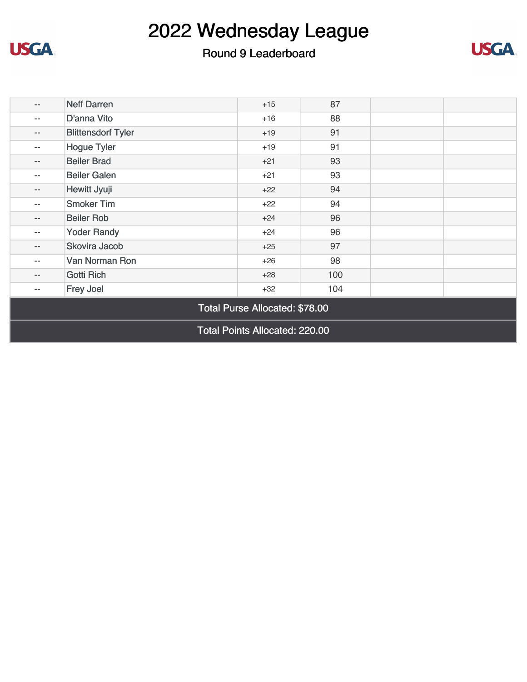

**USGA** 



| $\qquad \qquad -$                     | <b>Neff Darren</b>        | $+15$ | 87  |  |  |
|---------------------------------------|---------------------------|-------|-----|--|--|
| $\qquad \qquad -$                     | D'anna Vito               | $+16$ | 88  |  |  |
| $\qquad \qquad -$                     | <b>Blittensdorf Tyler</b> | $+19$ | 91  |  |  |
| $\qquad \qquad -$                     | <b>Hogue Tyler</b>        | $+19$ | 91  |  |  |
| $\qquad \qquad -$                     | <b>Beiler Brad</b>        | $+21$ | 93  |  |  |
| $\qquad \qquad -$                     | <b>Beiler Galen</b>       | $+21$ | 93  |  |  |
| $\qquad \qquad -$                     | Hewitt Jyuji              | $+22$ | 94  |  |  |
| $- -$                                 | <b>Smoker Tim</b>         | $+22$ | 94  |  |  |
| $\qquad \qquad -$                     | <b>Beiler Rob</b>         | $+24$ | 96  |  |  |
| $- -$                                 | <b>Yoder Randy</b>        | $+24$ | 96  |  |  |
| $\qquad \qquad -$                     | Skovira Jacob             | $+25$ | 97  |  |  |
| $\qquad \qquad -$                     | Van Norman Ron            | $+26$ | 98  |  |  |
| $\qquad \qquad -$                     | Gotti Rich                | $+28$ | 100 |  |  |
| $\qquad \qquad -$                     | Frey Joel                 | $+32$ | 104 |  |  |
| Total Purse Allocated: \$78.00        |                           |       |     |  |  |
| <b>Total Points Allocated: 220.00</b> |                           |       |     |  |  |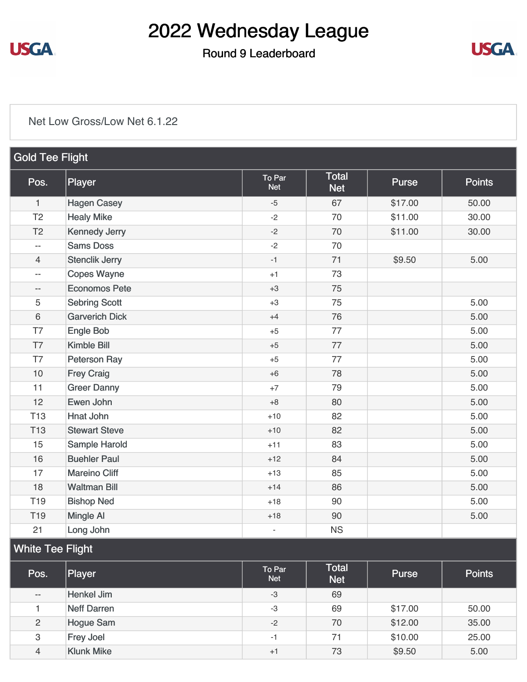

#### Round 9 Leaderboard



#### [Net Low Gross/Low Net 6.1.22](https://static.golfgenius.com/v2tournaments/8528499836842957407?called_from=&round_index=9)

| <b>Gold Tee Flight</b>   |                       |                          |                            |         |               |
|--------------------------|-----------------------|--------------------------|----------------------------|---------|---------------|
| Pos.                     | Player                | To Par<br><b>Net</b>     | <b>Total</b><br><b>Net</b> | Purse   | <b>Points</b> |
| $\mathbf{1}$             | <b>Hagen Casey</b>    | $-5$                     | 67                         | \$17.00 | 50.00         |
| T <sub>2</sub>           | <b>Healy Mike</b>     | $-2$                     | 70                         | \$11.00 | 30.00         |
| T <sub>2</sub>           | <b>Kennedy Jerry</b>  | $-2$                     | 70                         | \$11.00 | 30.00         |
| $\overline{\phantom{a}}$ | <b>Sams Doss</b>      | $-2$                     | 70                         |         |               |
| $\overline{4}$           | <b>Stenclik Jerry</b> | $-1$                     | 71                         | \$9.50  | 5.00          |
| $-$                      | <b>Copes Wayne</b>    | $+1$                     | 73                         |         |               |
| $- -$                    | <b>Economos Pete</b>  | $+3$                     | 75                         |         |               |
| 5                        | <b>Sebring Scott</b>  | $+3$                     | 75                         |         | 5.00          |
| $6\,$                    | <b>Garverich Dick</b> | $+4$                     | 76                         |         | 5.00          |
| T7                       | <b>Engle Bob</b>      | $+5$                     | 77                         |         | 5.00          |
| T7                       | Kimble Bill           | $+5$                     | 77                         |         | 5.00          |
| T7                       | Peterson Ray          | $+5$                     | 77                         |         | 5.00          |
| 10                       | <b>Frey Craig</b>     | $+6$                     | 78                         |         | 5.00          |
| 11                       | <b>Greer Danny</b>    | $+7$                     | 79                         |         | 5.00          |
| 12                       | Ewen John             | $+8$                     | 80                         |         | 5.00          |
| T <sub>13</sub>          | <b>Hnat John</b>      | $+10$                    | 82                         |         | 5.00          |
| <b>T13</b>               | <b>Stewart Steve</b>  | $+10$                    | 82                         |         | 5.00          |
| 15                       | Sample Harold         | $+11$                    | 83                         |         | 5.00          |
| 16                       | <b>Buehler Paul</b>   | $+12$                    | 84                         |         | 5.00          |
| 17                       | <b>Mareino Cliff</b>  | $+13$                    | 85                         |         | 5.00          |
| 18                       | <b>Waltman Bill</b>   | $+14$                    | 86                         |         | 5.00          |
| T <sub>19</sub>          | <b>Bishop Ned</b>     | $+18$                    | 90                         |         | 5.00          |
| T <sub>19</sub>          | <b>Mingle Al</b>      | $+18$                    | 90                         |         | 5.00          |
| 21                       | Long John             | $\overline{\phantom{a}}$ | <b>NS</b>                  |         |               |

### White Tee Flight

| Pos.           | Player            | To Par<br><b>Net</b> | <b>Total</b><br><b>Net</b> | <b>Purse</b> | <b>Points</b> |
|----------------|-------------------|----------------------|----------------------------|--------------|---------------|
| $- -$          | Henkel Jim        | $-3$                 | 69                         |              |               |
|                | Neff Darren       | -3                   | 69                         | \$17.00      | 50.00         |
| $\overline{2}$ | <b>Hogue Sam</b>  | $-2$                 | 70                         | \$12.00      | 35.00         |
| 3              | <b>Frey Joel</b>  | -1                   | 71                         | \$10.00      | 25.00         |
| 4              | <b>Klunk Mike</b> | $+1$                 | 73                         | \$9.50       | 5.00          |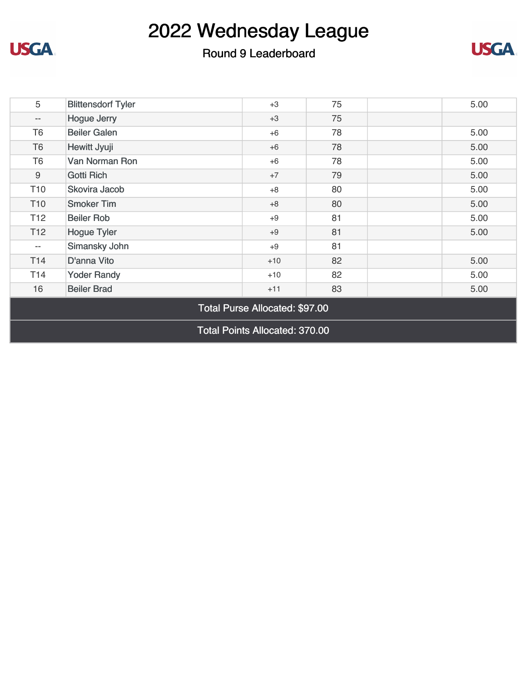### Round 9 Leaderboard

**USGA** 



| 5                                     | <b>Blittensdorf Tyler</b> | $+3$  | 75 | 5.00 |  |
|---------------------------------------|---------------------------|-------|----|------|--|
| $\overline{\phantom{m}}$              | <b>Hogue Jerry</b>        | $+3$  | 75 |      |  |
| T <sub>6</sub>                        | <b>Beiler Galen</b>       | $+6$  | 78 | 5.00 |  |
| T <sub>6</sub>                        | Hewitt Jyuji              | $+6$  | 78 | 5.00 |  |
| T <sub>6</sub>                        | Van Norman Ron            | $+6$  | 78 | 5.00 |  |
| $9\,$                                 | <b>Gotti Rich</b>         | $+7$  | 79 | 5.00 |  |
| T <sub>10</sub>                       | Skovira Jacob             | $+8$  | 80 | 5.00 |  |
| T <sub>10</sub>                       | <b>Smoker Tim</b>         | $+8$  | 80 | 5.00 |  |
| T <sub>12</sub>                       | <b>Beiler Rob</b>         | $+9$  | 81 | 5.00 |  |
| T <sub>12</sub>                       | <b>Hogue Tyler</b>        | $+9$  | 81 | 5.00 |  |
| $\overline{\phantom{m}}$              | Simansky John             | $+9$  | 81 |      |  |
| T <sub>14</sub>                       | D'anna Vito               | $+10$ | 82 | 5.00 |  |
| T14                                   | <b>Yoder Randy</b>        | $+10$ | 82 | 5.00 |  |
| 16                                    | <b>Beiler Brad</b>        | $+11$ | 83 | 5.00 |  |
| Total Purse Allocated: \$97.00        |                           |       |    |      |  |
| <b>Total Points Allocated: 370.00</b> |                           |       |    |      |  |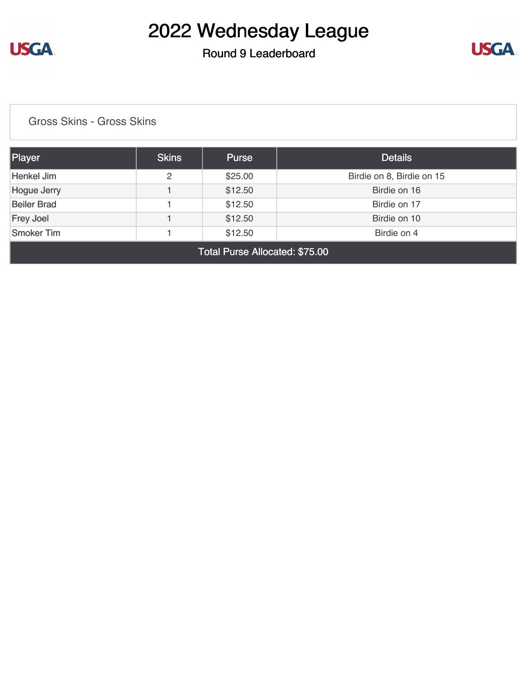

### Round 9 Leaderboard



[Gross Skins - Gross Skins](https://static.golfgenius.com/v2tournaments/8528501272469330529?called_from=&round_index=9)

| Player                                      | <b>Skins</b> | Purse   | <b>Details</b>            |  |
|---------------------------------------------|--------------|---------|---------------------------|--|
| Henkel Jim                                  | 2            | \$25.00 | Birdie on 8, Birdie on 15 |  |
| <b>Hogue Jerry</b>                          |              | \$12.50 | Birdie on 16              |  |
| <b>Beiler Brad</b>                          |              | \$12.50 | Birdie on 17              |  |
| <b>Frey Joel</b>                            |              | \$12.50 | Birdie on 10              |  |
| <b>Smoker Tim</b><br>\$12.50<br>Birdie on 4 |              |         |                           |  |
| Total Purse Allocated: \$75.00              |              |         |                           |  |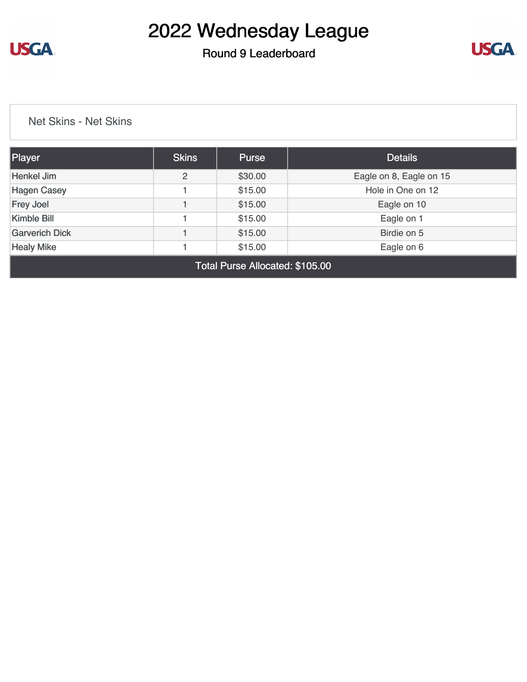

#### Round 9 Leaderboard



[Net Skins - Net Skins](https://static.golfgenius.com/v2tournaments/8528502673333312098?called_from=&round_index=9)

| 2 | \$30.00 | Eagle on 8, Eagle on 15 |
|---|---------|-------------------------|
|   | \$15.00 | Hole in One on 12       |
|   | \$15.00 | Eagle on 10             |
|   | \$15.00 | Eagle on 1              |
|   | \$15.00 | Birdie on 5             |
|   | \$15.00 | Eagle on 6              |
|   |         |                         |

Total Purse Allocated: \$105.00